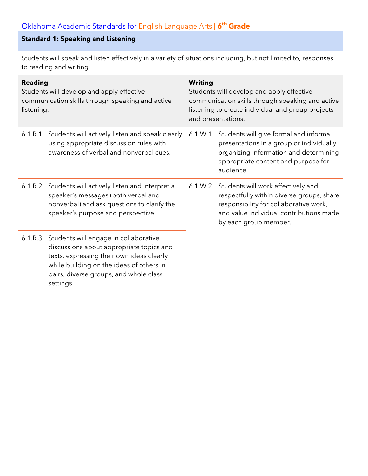# **Standard 1: Speaking and Listening**

Students will speak and listen effectively in a variety of situations including, but not limited to, responses to reading and writing.

| <b>Reading</b><br>Students will develop and apply effective<br>communication skills through speaking and active<br>listening. |                                                                                                                                                                                                                                   | <b>Writing</b><br>Students will develop and apply effective<br>communication skills through speaking and active<br>listening to create individual and group projects<br>and presentations. |                                                                                                                                                                                               |
|-------------------------------------------------------------------------------------------------------------------------------|-----------------------------------------------------------------------------------------------------------------------------------------------------------------------------------------------------------------------------------|--------------------------------------------------------------------------------------------------------------------------------------------------------------------------------------------|-----------------------------------------------------------------------------------------------------------------------------------------------------------------------------------------------|
| 6.1.R.1                                                                                                                       | Students will actively listen and speak clearly<br>using appropriate discussion rules with<br>awareness of verbal and nonverbal cues.                                                                                             | 6.1.W.1                                                                                                                                                                                    | Students will give formal and informal<br>presentations in a group or individually,<br>organizing information and determining<br>appropriate content and purpose for<br>audience.             |
| 6.1.R.2                                                                                                                       | Students will actively listen and interpret a<br>speaker's messages (both verbal and<br>nonverbal) and ask questions to clarify the<br>speaker's purpose and perspective.                                                         | 6.1.W.2                                                                                                                                                                                    | Students will work effectively and<br>respectfully within diverse groups, share<br>responsibility for collaborative work,<br>and value individual contributions made<br>by each group member. |
| 6.1.R.3                                                                                                                       | Students will engage in collaborative<br>discussions about appropriate topics and<br>texts, expressing their own ideas clearly<br>while building on the ideas of others in<br>pairs, diverse groups, and whole class<br>settings. |                                                                                                                                                                                            |                                                                                                                                                                                               |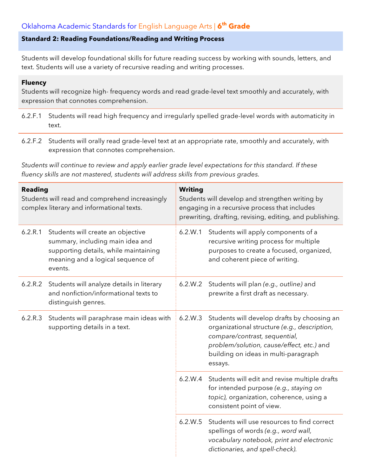## Oklahoma Academic Standards for English Language Arts | **6th Grade**

#### **Standard 2: Reading Foundations/Reading and Writing Process**

Students will develop foundational skills for future reading success by working with sounds, letters, and text. Students will use a variety of recursive reading and writing processes.

#### **Fluency**

Students will recognize high- frequency words and read grade-level text smoothly and accurately, with expression that connotes comprehension.

- 6.2.F.1 Students will read high frequency and irregularly spelled grade-level words with automaticity in text.
- 6.2.F.2 Students will orally read grade-level text at an appropriate rate, smoothly and accurately, with expression that connotes comprehension.

*Students will continue to review and apply earlier grade level expectations for this standard. If these fluency skills are not mastered, students will address skills from previous grades.*

| <b>Reading</b><br>Students will read and comprehend increasingly<br>complex literary and informational texts. |                                                                                                                                                                | <b>Writing</b><br>Students will develop and strengthen writing by<br>engaging in a recursive process that includes<br>prewriting, drafting, revising, editing, and publishing. |                                                                                                                                                                                                                              |  |
|---------------------------------------------------------------------------------------------------------------|----------------------------------------------------------------------------------------------------------------------------------------------------------------|--------------------------------------------------------------------------------------------------------------------------------------------------------------------------------|------------------------------------------------------------------------------------------------------------------------------------------------------------------------------------------------------------------------------|--|
| 6.2.R.1                                                                                                       | Students will create an objective<br>summary, including main idea and<br>supporting details, while maintaining<br>meaning and a logical sequence of<br>events. | 6.2.W.1                                                                                                                                                                        | Students will apply components of a<br>recursive writing process for multiple<br>purposes to create a focused, organized,<br>and coherent piece of writing.                                                                  |  |
| 6.2.R.2                                                                                                       | Students will analyze details in literary<br>and nonfiction/informational texts to<br>distinguish genres.                                                      | 6.2.W.2                                                                                                                                                                        | Students will plan (e.g., outline) and<br>prewrite a first draft as necessary.                                                                                                                                               |  |
| 6.2.R.3                                                                                                       | Students will paraphrase main ideas with<br>supporting details in a text.                                                                                      | 6.2.W.3                                                                                                                                                                        | Students will develop drafts by choosing an<br>organizational structure (e.g., description,<br>compare/contrast, sequential,<br>problem/solution, cause/effect, etc.) and<br>building on ideas in multi-paragraph<br>essays. |  |
|                                                                                                               |                                                                                                                                                                | 6.2.W.4                                                                                                                                                                        | Students will edit and revise multiple drafts<br>for intended purpose (e.g., staying on<br>topic), organization, coherence, using a<br>consistent point of view.                                                             |  |
|                                                                                                               |                                                                                                                                                                | 6.2.W.5                                                                                                                                                                        | Students will use resources to find correct<br>spellings of words (e.g., word wall,<br>vocabulary notebook, print and electronic<br>dictionaries, and spell-check).                                                          |  |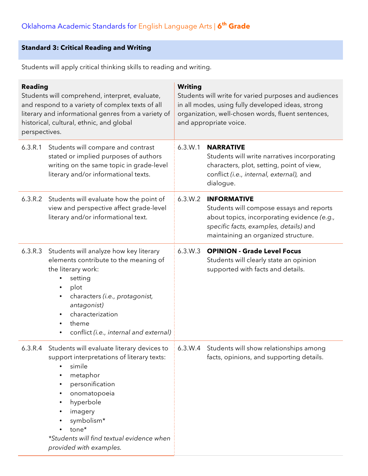# **Standard 3: Critical Reading and Writing**

Students will apply critical thinking skills to reading and writing.

| <b>Reading</b><br>Students will comprehend, interpret, evaluate,<br>and respond to a variety of complex texts of all<br>literary and informational genres from a variety of<br>historical, cultural, ethnic, and global<br>perspectives. |                                                                                                                                                                                                                                                                                                                                                                                    | <b>Writing</b><br>Students will write for varied purposes and audiences<br>in all modes, using fully developed ideas, strong<br>organization, well-chosen words, fluent sentences,<br>and appropriate voice. |                                                                                                                                                                                                |  |
|------------------------------------------------------------------------------------------------------------------------------------------------------------------------------------------------------------------------------------------|------------------------------------------------------------------------------------------------------------------------------------------------------------------------------------------------------------------------------------------------------------------------------------------------------------------------------------------------------------------------------------|--------------------------------------------------------------------------------------------------------------------------------------------------------------------------------------------------------------|------------------------------------------------------------------------------------------------------------------------------------------------------------------------------------------------|--|
| 6.3.R.1                                                                                                                                                                                                                                  | Students will compare and contrast<br>stated or implied purposes of authors<br>writing on the same topic in grade-level<br>literary and/or informational texts.                                                                                                                                                                                                                    | 6.3.W.1                                                                                                                                                                                                      | <b>NARRATIVE</b><br>Students will write narratives incorporating<br>characters, plot, setting, point of view,<br>conflict (i.e., internal, external), and<br>dialogue.                         |  |
| 6.3.R.2                                                                                                                                                                                                                                  | Students will evaluate how the point of<br>view and perspective affect grade-level<br>literary and/or informational text.                                                                                                                                                                                                                                                          | 6.3.W.2                                                                                                                                                                                                      | <b>INFORMATIVE</b><br>Students will compose essays and reports<br>about topics, incorporating evidence (e.g.,<br>specific facts, examples, details) and<br>maintaining an organized structure. |  |
| 6.3.R.3                                                                                                                                                                                                                                  | Students will analyze how key literary<br>elements contribute to the meaning of<br>the literary work:<br>setting<br>plot<br>٠<br>characters (i.e., protagonist,<br>$\bullet$<br>antagonist)<br>characterization<br>$\bullet$<br>theme<br>$\bullet$<br>conflict (i.e., internal and external)<br>$\bullet$                                                                          | 6.3.W.3                                                                                                                                                                                                      | <b>OPINION - Grade Level Focus</b><br>Students will clearly state an opinion<br>supported with facts and details.                                                                              |  |
| 6.3.R.4                                                                                                                                                                                                                                  | Students will evaluate literary devices to   6.3.W.4 Students will show relationships among<br>support interpretations of literary texts:<br>simile<br>metaphor<br>$\bullet$<br>personification<br>$\bullet$<br>onomatopoeia<br>$\bullet$<br>hyperbole<br>$\bullet$<br>imagery<br>٠<br>symbolism*<br>tone*<br>*Students will find textual evidence when<br>provided with examples. |                                                                                                                                                                                                              | facts, opinions, and supporting details.                                                                                                                                                       |  |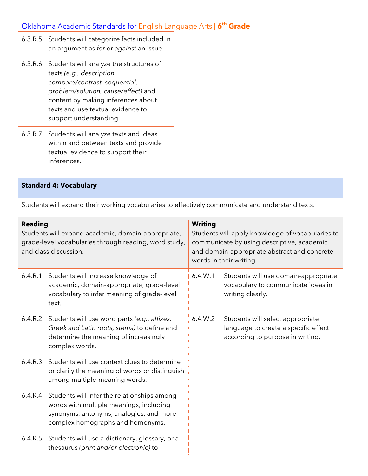# Oklahoma Academic Standards for English Language Arts | **6th Grade**

- 6.3.R.5 Students will categorize facts included in an argument as *for* or *against* an issue.
- 6.3.R.6 Students will analyze the structures of texts *(e.g., description, compare/contrast, sequential, problem/solution, cause/effect)* and content by making inferences about texts and use textual evidence to support understanding.
- 6.3.R.7 Students will analyze texts and ideas within and between texts and provide textual evidence to support their inferences.

#### **Standard 4: Vocabulary**

Students will expand their working vocabularies to effectively communicate and understand texts.

| <b>Reading</b><br>Students will expand academic, domain-appropriate,<br>grade-level vocabularies through reading, word study,<br>and class discussion. |                                                                                                                                                                       | <b>Writing</b><br>Students will apply knowledge of vocabularies to<br>communicate by using descriptive, academic,<br>and domain-appropriate abstract and concrete<br>words in their writing. |                                                                                                              |
|--------------------------------------------------------------------------------------------------------------------------------------------------------|-----------------------------------------------------------------------------------------------------------------------------------------------------------------------|----------------------------------------------------------------------------------------------------------------------------------------------------------------------------------------------|--------------------------------------------------------------------------------------------------------------|
| 6.4.R.1                                                                                                                                                | Students will increase knowledge of<br>academic, domain-appropriate, grade-level<br>vocabulary to infer meaning of grade-level<br>text.                               | 6.4.W.1                                                                                                                                                                                      | Students will use domain-appropriate<br>vocabulary to communicate ideas in<br>writing clearly.               |
| 6.4.R.2                                                                                                                                                | Students will use word parts (e.g., affixes,<br>Greek and Latin roots, stems) to define and<br>determine the meaning of increasingly<br>complex words.                | 6.4.W.2                                                                                                                                                                                      | Students will select appropriate<br>language to create a specific effect<br>according to purpose in writing. |
| 6.4.R.3                                                                                                                                                | Students will use context clues to determine<br>or clarify the meaning of words or distinguish<br>among multiple-meaning words.                                       |                                                                                                                                                                                              |                                                                                                              |
| 6.4.R.4                                                                                                                                                | Students will infer the relationships among<br>words with multiple meanings, including<br>synonyms, antonyms, analogies, and more<br>complex homographs and homonyms. |                                                                                                                                                                                              |                                                                                                              |
| 6.4.R.5                                                                                                                                                | Students will use a dictionary, glossary, or a<br>thesaurus (print and/or electronic) to                                                                              |                                                                                                                                                                                              |                                                                                                              |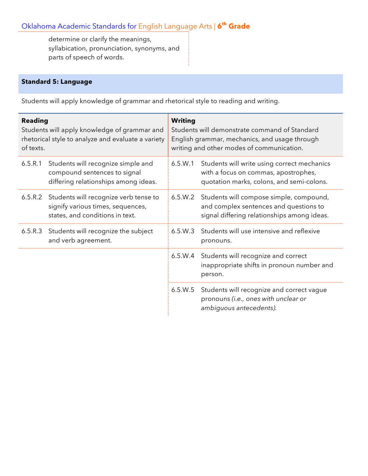# Oklahoma Academic Standards for English Language Arts | **6th Grade**

determine or clarify the meanings, syllabication, pronunciation, synonyms, and parts of speech of words.

#### **Standard 5: Language**

Students will apply knowledge of grammar and rhetorical style to reading and writing.

| <b>Reading</b><br>Students will apply knowledge of grammar and<br>rhetorical style to analyze and evaluate a variety<br>of texts. |                                                                                                               | <b>Writing</b><br>Students will demonstrate command of Standard<br>English grammar, mechanics, and usage through<br>writing and other modes of communication. |                                                                                                                                          |  |
|-----------------------------------------------------------------------------------------------------------------------------------|---------------------------------------------------------------------------------------------------------------|---------------------------------------------------------------------------------------------------------------------------------------------------------------|------------------------------------------------------------------------------------------------------------------------------------------|--|
| 6.5.R.1                                                                                                                           | Students will recognize simple and<br>compound sentences to signal<br>differing relationships among ideas.    | 6.5.W.1                                                                                                                                                       | Students will write using correct mechanics<br>with a focus on commas, apostrophes,<br>quotation marks, colons, and semi-colons.         |  |
| 6.5.R.2                                                                                                                           | Students will recognize verb tense to<br>signify various times, sequences,<br>states, and conditions in text. |                                                                                                                                                               | 6.5.W.2 Students will compose simple, compound,<br>and complex sentences and questions to<br>signal differing relationships among ideas. |  |
| 6.5.R.3                                                                                                                           | Students will recognize the subject<br>and verb agreement.                                                    | 6.5.W.3                                                                                                                                                       | Students will use intensive and reflexive<br>pronouns.                                                                                   |  |
|                                                                                                                                   |                                                                                                               | 6.5.W.4                                                                                                                                                       | Students will recognize and correct<br>inappropriate shifts in pronoun number and<br>person.                                             |  |
|                                                                                                                                   |                                                                                                               | 6.5.W.5                                                                                                                                                       | Students will recognize and correct vague<br>pronouns (i.e., ones with unclear or<br>ambiguous antecedents).                             |  |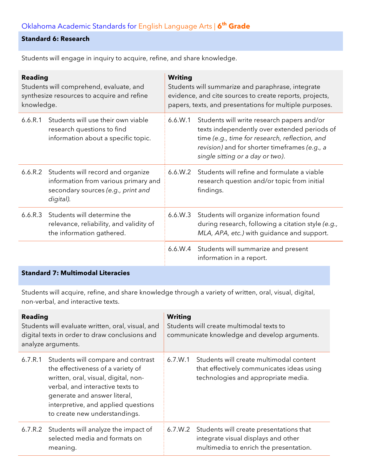#### **Standard 6: Research**

Students will engage in inquiry to acquire, refine, and share knowledge.

| <b>Reading</b><br>Students will comprehend, evaluate, and<br>synthesize resources to acquire and refine<br>knowledge. |                                                                                                                              | <b>Writing</b><br>Students will summarize and paraphrase, integrate<br>evidence, and cite sources to create reports, projects,<br>papers, texts, and presentations for multiple purposes.                                                    |                                                                                                                                              |  |
|-----------------------------------------------------------------------------------------------------------------------|------------------------------------------------------------------------------------------------------------------------------|----------------------------------------------------------------------------------------------------------------------------------------------------------------------------------------------------------------------------------------------|----------------------------------------------------------------------------------------------------------------------------------------------|--|
| 6.6.R.1                                                                                                               | Students will use their own viable<br>research questions to find<br>information about a specific topic.                      | Students will write research papers and/or<br>6.6.W.1<br>texts independently over extended periods of<br>time (e.g., time for research, reflection, and<br>revision) and for shorter timeframes (e.g., a<br>single sitting or a day or two). |                                                                                                                                              |  |
| 6.6.R.2                                                                                                               | Students will record and organize<br>information from various primary and<br>secondary sources (e.g., print and<br>digital). | 6.6.W.2                                                                                                                                                                                                                                      | Students will refine and formulate a viable<br>research question and/or topic from initial<br>findings.                                      |  |
| 6.6.R.3                                                                                                               | Students will determine the<br>relevance, reliability, and validity of<br>the information gathered.                          | 6.6.W.3                                                                                                                                                                                                                                      | Students will organize information found<br>during research, following a citation style (e.g.,<br>MLA, APA, etc.) with guidance and support. |  |
|                                                                                                                       |                                                                                                                              | 6.6.W.4                                                                                                                                                                                                                                      | Students will summarize and present<br>information in a report.                                                                              |  |

## **Standard 7: Multimodal Literacies**

Students will acquire, refine, and share knowledge through a variety of written, oral, visual, digital, non-verbal, and interactive texts.

| <b>Reading</b><br>Students will evaluate written, oral, visual, and<br>digital texts in order to draw conclusions and<br>analyze arguments. |                                                                                                                                                                                                                                                             | <b>Writing</b><br>Students will create multimodal texts to<br>communicate knowledge and develop arguments. |                                                                                                                                  |  |
|---------------------------------------------------------------------------------------------------------------------------------------------|-------------------------------------------------------------------------------------------------------------------------------------------------------------------------------------------------------------------------------------------------------------|------------------------------------------------------------------------------------------------------------|----------------------------------------------------------------------------------------------------------------------------------|--|
| 6.7.R.1                                                                                                                                     | Students will compare and contrast<br>the effectiveness of a variety of<br>written, oral, visual, digital, non-<br>verbal, and interactive texts to<br>generate and answer literal,<br>interpretive, and applied questions<br>to create new understandings. | 6.7.W.1                                                                                                    | Students will create multimodal content<br>that effectively communicates ideas using<br>technologies and appropriate media.      |  |
|                                                                                                                                             | 6.7.R.2 Students will analyze the impact of<br>selected media and formats on<br>meaning.                                                                                                                                                                    |                                                                                                            | 6.7.W.2 Students will create presentations that<br>integrate visual displays and other<br>multimedia to enrich the presentation. |  |